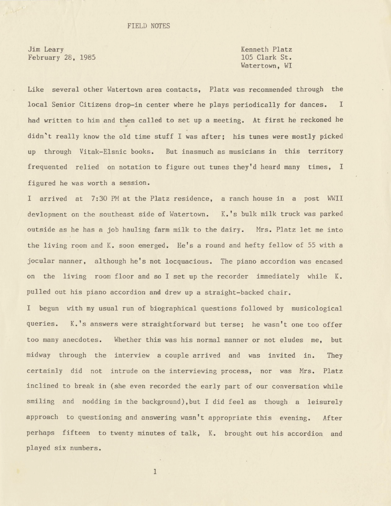Jim Leary February 28, 1985 Kenneth Platz 105 Clark St. Watertown, WI

Like several other Watertown area contacts, Platz was recommended through the local Senior Citizens drop-in center where he plays periodically for dances. I had written to him and then called to set up a meeting. At first he reckoned he didn't really know the old time stuff I was after; his tunes were mostly picked up through Vitak-Elsnic books. But inasmuch as musicians in this territory frequented relied on notation to figure out tunes they'd heard many times, I figured he was worth a session.

I arrived at 7:30 PM at the Platz residence, a ranch house in a post WWII devlopment on the southeast side of Watertown. K. 's bulk milk truck was parked outside as he has a job hauling farm milk to the dairy. Mrs. Platz let me into the living room and K. soon emerged. He's a round and hefty fellow of 55 with a jocular manner, although he's not locquacious. The piano accordion was encased on the living room floor and so I set up the recorder immediately while K. pulled out his piano accordion and drew up a straight-backed chair.

I begun with my usual run of biographical questions followed by musicological queries. K. 's answers were straightforward but terse; he wasn't one too offer too many anecdotes. Whether this was his normal manner or not eludes me, but midway through the interview a couple arrived and was invited in. They certainly did not intrude on the interviewing process, nor was Mrs. Platz inclined to break in (she even recorded the early part of our conversation while smiling and nodding in the background), but I did feel as though a leisurely approach to questioning and answering wasn't appropriate this evening. After perhaps fifteen to twenty minutes of talk, K. brought out his accordion and played six numbers.

1